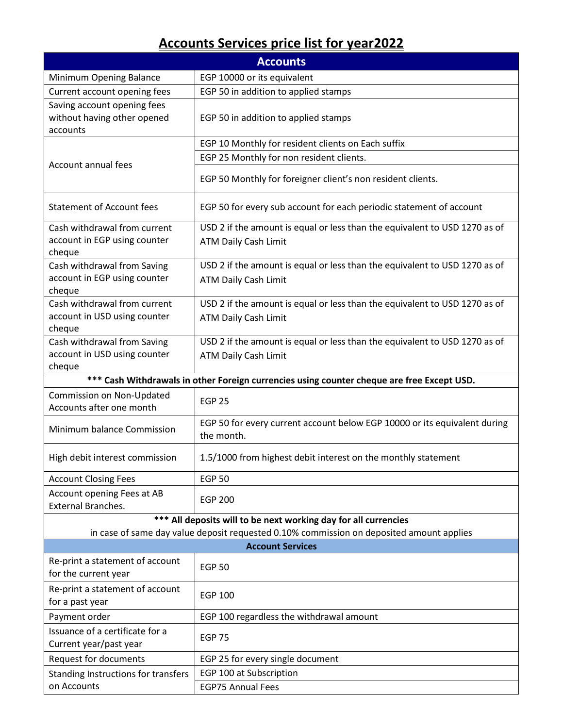## **Accounts Services price list for year2022**

| <b>Accounts</b>                                                        |                                                                                                                                                             |  |  |
|------------------------------------------------------------------------|-------------------------------------------------------------------------------------------------------------------------------------------------------------|--|--|
| Minimum Opening Balance                                                | EGP 10000 or its equivalent                                                                                                                                 |  |  |
| Current account opening fees                                           | EGP 50 in addition to applied stamps                                                                                                                        |  |  |
| Saving account opening fees<br>without having other opened<br>accounts | EGP 50 in addition to applied stamps                                                                                                                        |  |  |
|                                                                        | EGP 10 Monthly for resident clients on Each suffix                                                                                                          |  |  |
| Account annual fees                                                    | EGP 25 Monthly for non resident clients.                                                                                                                    |  |  |
|                                                                        | EGP 50 Monthly for foreigner client's non resident clients.                                                                                                 |  |  |
| <b>Statement of Account fees</b>                                       | EGP 50 for every sub account for each periodic statement of account                                                                                         |  |  |
| Cash withdrawal from current                                           | USD 2 if the amount is equal or less than the equivalent to USD 1270 as of                                                                                  |  |  |
| account in EGP using counter<br>cheque                                 | <b>ATM Daily Cash Limit</b>                                                                                                                                 |  |  |
| Cash withdrawal from Saving                                            | USD 2 if the amount is equal or less than the equivalent to USD 1270 as of                                                                                  |  |  |
| account in EGP using counter<br>cheque                                 | <b>ATM Daily Cash Limit</b>                                                                                                                                 |  |  |
| Cash withdrawal from current                                           | USD 2 if the amount is equal or less than the equivalent to USD 1270 as of                                                                                  |  |  |
| account in USD using counter<br>cheque                                 | <b>ATM Daily Cash Limit</b>                                                                                                                                 |  |  |
| Cash withdrawal from Saving                                            | USD 2 if the amount is equal or less than the equivalent to USD 1270 as of                                                                                  |  |  |
| account in USD using counter                                           | <b>ATM Daily Cash Limit</b>                                                                                                                                 |  |  |
| cheque                                                                 |                                                                                                                                                             |  |  |
|                                                                        | *** Cash Withdrawals in other Foreign currencies using counter cheque are free Except USD.                                                                  |  |  |
| Commission on Non-Updated<br>Accounts after one month                  | <b>EGP 25</b>                                                                                                                                               |  |  |
| Minimum balance Commission                                             | EGP 50 for every current account below EGP 10000 or its equivalent during<br>the month.                                                                     |  |  |
| High debit interest commission                                         | 1.5/1000 from highest debit interest on the monthly statement                                                                                               |  |  |
| <b>Account Closing Fees</b>                                            | <b>EGP 50</b>                                                                                                                                               |  |  |
| Account opening Fees at AB<br><b>External Branches.</b>                | <b>EGP 200</b>                                                                                                                                              |  |  |
|                                                                        | *** All deposits will to be next working day for all currencies<br>in case of same day value deposit requested 0.10% commission on deposited amount applies |  |  |
| <b>Account Services</b>                                                |                                                                                                                                                             |  |  |
| Re-print a statement of account<br>for the current year                | <b>EGP 50</b>                                                                                                                                               |  |  |
| Re-print a statement of account<br>for a past year                     | <b>EGP 100</b>                                                                                                                                              |  |  |
| Payment order                                                          | EGP 100 regardless the withdrawal amount                                                                                                                    |  |  |
| Issuance of a certificate for a<br>Current year/past year              | <b>EGP 75</b>                                                                                                                                               |  |  |
| Request for documents                                                  | EGP 25 for every single document                                                                                                                            |  |  |
| Standing Instructions for transfers                                    | EGP 100 at Subscription                                                                                                                                     |  |  |
| on Accounts                                                            | <b>EGP75 Annual Fees</b>                                                                                                                                    |  |  |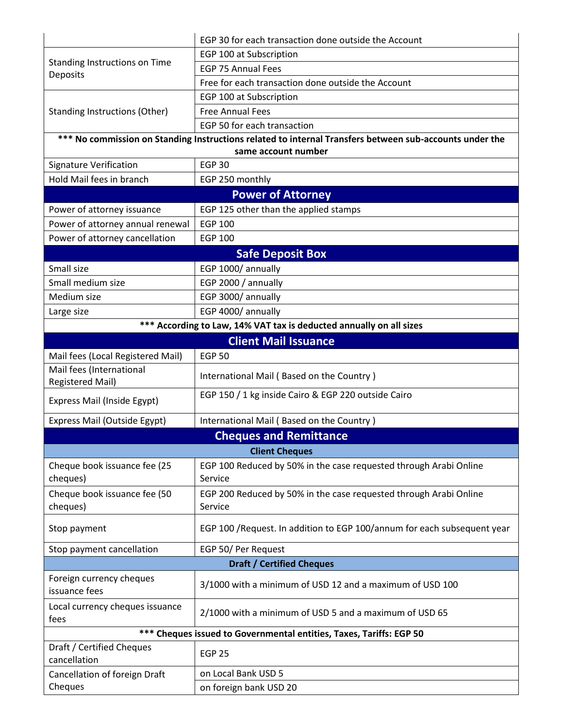|                                                                     | EGP 30 for each transaction done outside the Account                                                    |  |
|---------------------------------------------------------------------|---------------------------------------------------------------------------------------------------------|--|
| Standing Instructions on Time<br>Deposits                           | EGP 100 at Subscription                                                                                 |  |
|                                                                     | <b>EGP 75 Annual Fees</b>                                                                               |  |
|                                                                     | Free for each transaction done outside the Account                                                      |  |
|                                                                     | EGP 100 at Subscription                                                                                 |  |
| Standing Instructions (Other)                                       | <b>Free Annual Fees</b>                                                                                 |  |
|                                                                     | EGP 50 for each transaction                                                                             |  |
|                                                                     | *** No commission on Standing Instructions related to internal Transfers between sub-accounts under the |  |
|                                                                     | same account number                                                                                     |  |
| <b>Signature Verification</b>                                       | <b>EGP 30</b>                                                                                           |  |
| Hold Mail fees in branch                                            | EGP 250 monthly                                                                                         |  |
|                                                                     | <b>Power of Attorney</b>                                                                                |  |
| Power of attorney issuance                                          | EGP 125 other than the applied stamps                                                                   |  |
| Power of attorney annual renewal                                    | <b>EGP 100</b>                                                                                          |  |
| Power of attorney cancellation                                      | <b>EGP 100</b>                                                                                          |  |
|                                                                     | <b>Safe Deposit Box</b>                                                                                 |  |
| Small size                                                          | EGP 1000/ annually                                                                                      |  |
| Small medium size                                                   | EGP 2000 / annually                                                                                     |  |
| Medium size                                                         | EGP 3000/ annually                                                                                      |  |
| Large size                                                          | EGP 4000/ annually                                                                                      |  |
|                                                                     | *** According to Law, 14% VAT tax is deducted annually on all sizes                                     |  |
|                                                                     | <b>Client Mail Issuance</b>                                                                             |  |
| Mail fees (Local Registered Mail)                                   | <b>EGP 50</b>                                                                                           |  |
| Mail fees (International<br><b>Registered Mail)</b>                 | International Mail (Based on the Country)                                                               |  |
| Express Mail (Inside Egypt)                                         | EGP 150 / 1 kg inside Cairo & EGP 220 outside Cairo                                                     |  |
| Express Mail (Outside Egypt)                                        | International Mail (Based on the Country)                                                               |  |
|                                                                     | <b>Cheques and Remittance</b>                                                                           |  |
|                                                                     | <b>Client Cheques</b>                                                                                   |  |
| Cheque book issuance fee (25<br>cheques)                            | EGP 100 Reduced by 50% in the case requested through Arabi Online<br>Service                            |  |
| Cheque book issuance fee (50<br>cheques)                            | EGP 200 Reduced by 50% in the case requested through Arabi Online<br>Service                            |  |
| Stop payment                                                        | EGP 100 / Request. In addition to EGP 100/annum for each subsequent year                                |  |
| Stop payment cancellation                                           | EGP 50/ Per Request                                                                                     |  |
|                                                                     | <b>Draft / Certified Cheques</b>                                                                        |  |
| Foreign currency cheques<br>issuance fees                           | 3/1000 with a minimum of USD 12 and a maximum of USD 100                                                |  |
| Local currency cheques issuance<br>fees                             | 2/1000 with a minimum of USD 5 and a maximum of USD 65                                                  |  |
| *** Cheques issued to Governmental entities, Taxes, Tariffs: EGP 50 |                                                                                                         |  |
| Draft / Certified Cheques<br>cancellation                           | <b>EGP 25</b>                                                                                           |  |
| Cancellation of foreign Draft                                       | on Local Bank USD 5                                                                                     |  |
| Cheques                                                             | on foreign bank USD 20                                                                                  |  |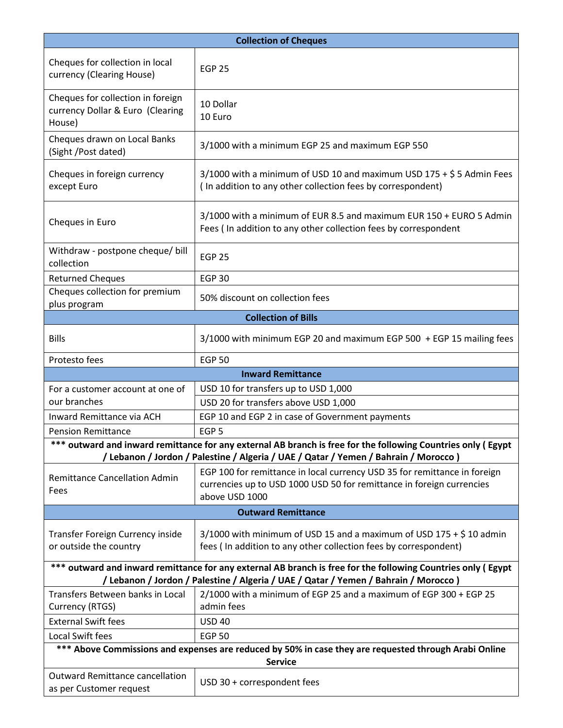| <b>Collection of Cheques</b>                                                                                                                                                                        |                                                                                                                                                                                                      |  |
|-----------------------------------------------------------------------------------------------------------------------------------------------------------------------------------------------------|------------------------------------------------------------------------------------------------------------------------------------------------------------------------------------------------------|--|
| Cheques for collection in local<br>currency (Clearing House)                                                                                                                                        | <b>EGP 25</b>                                                                                                                                                                                        |  |
| Cheques for collection in foreign<br>currency Dollar & Euro (Clearing<br>House)                                                                                                                     | 10 Dollar<br>10 Euro                                                                                                                                                                                 |  |
| Cheques drawn on Local Banks<br>(Sight /Post dated)                                                                                                                                                 | 3/1000 with a minimum EGP 25 and maximum EGP 550                                                                                                                                                     |  |
| Cheques in foreign currency<br>except Euro                                                                                                                                                          | $3/1000$ with a minimum of USD 10 and maximum USD 175 + \$5 Admin Fees<br>(In addition to any other collection fees by correspondent)                                                                |  |
| Cheques in Euro                                                                                                                                                                                     | 3/1000 with a minimum of EUR 8.5 and maximum EUR 150 + EURO 5 Admin<br>Fees (In addition to any other collection fees by correspondent                                                               |  |
| Withdraw - postpone cheque/ bill<br>collection                                                                                                                                                      | <b>EGP 25</b>                                                                                                                                                                                        |  |
| <b>Returned Cheques</b>                                                                                                                                                                             | <b>EGP 30</b>                                                                                                                                                                                        |  |
| Cheques collection for premium<br>plus program                                                                                                                                                      | 50% discount on collection fees                                                                                                                                                                      |  |
|                                                                                                                                                                                                     | <b>Collection of Bills</b>                                                                                                                                                                           |  |
| <b>Bills</b>                                                                                                                                                                                        | 3/1000 with minimum EGP 20 and maximum EGP 500 + EGP 15 mailing fees                                                                                                                                 |  |
| Protesto fees                                                                                                                                                                                       | <b>EGP 50</b>                                                                                                                                                                                        |  |
|                                                                                                                                                                                                     | <b>Inward Remittance</b>                                                                                                                                                                             |  |
| For a customer account at one of                                                                                                                                                                    | USD 10 for transfers up to USD 1,000                                                                                                                                                                 |  |
| our branches                                                                                                                                                                                        | USD 20 for transfers above USD 1,000                                                                                                                                                                 |  |
| Inward Remittance via ACH                                                                                                                                                                           | EGP 10 and EGP 2 in case of Government payments                                                                                                                                                      |  |
| <b>Pension Remittance</b>                                                                                                                                                                           | EGP <sub>5</sub>                                                                                                                                                                                     |  |
|                                                                                                                                                                                                     | *** outward and inward remittance for any external AB branch is free for the following Countries only (Egypt<br>/ Lebanon / Jordon / Palestine / Algeria / UAE / Qatar / Yemen / Bahrain / Morocco ) |  |
| <b>Remittance Cancellation Admin</b><br>Fees                                                                                                                                                        | EGP 100 for remittance in local currency USD 35 for remittance in foreign<br>currencies up to USD 1000 USD 50 for remittance in foreign currencies<br>above USD 1000                                 |  |
| <b>Outward Remittance</b>                                                                                                                                                                           |                                                                                                                                                                                                      |  |
| Transfer Foreign Currency inside<br>or outside the country                                                                                                                                          | $3/1000$ with minimum of USD 15 and a maximum of USD 175 + \$10 admin<br>fees (In addition to any other collection fees by correspondent)                                                            |  |
| *** outward and inward remittance for any external AB branch is free for the following Countries only (Egypt<br>/ Lebanon / Jordon / Palestine / Algeria / UAE / Qatar / Yemen / Bahrain / Morocco) |                                                                                                                                                                                                      |  |
| Transfers Between banks in Local                                                                                                                                                                    | 2/1000 with a minimum of EGP 25 and a maximum of EGP 300 + EGP 25                                                                                                                                    |  |
| Currency (RTGS)                                                                                                                                                                                     | admin fees                                                                                                                                                                                           |  |
| <b>External Swift fees</b>                                                                                                                                                                          | <b>USD 40</b>                                                                                                                                                                                        |  |
| Local Swift fees                                                                                                                                                                                    | <b>EGP 50</b>                                                                                                                                                                                        |  |
| *** Above Commissions and expenses are reduced by 50% in case they are requested through Arabi Online<br><b>Service</b>                                                                             |                                                                                                                                                                                                      |  |
| <b>Outward Remittance cancellation</b><br>as per Customer request                                                                                                                                   | USD 30 + correspondent fees                                                                                                                                                                          |  |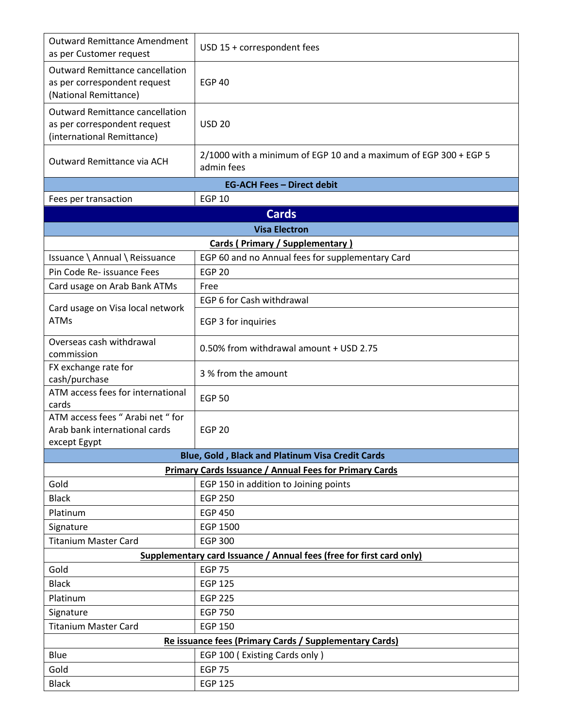| <b>Outward Remittance Amendment</b><br>as per Customer request                                       | USD 15 + correspondent fees                                                    |  |
|------------------------------------------------------------------------------------------------------|--------------------------------------------------------------------------------|--|
| <b>Outward Remittance cancellation</b><br>as per correspondent request<br>(National Remittance)      | <b>EGP 40</b>                                                                  |  |
| <b>Outward Remittance cancellation</b><br>as per correspondent request<br>(international Remittance) | <b>USD 20</b>                                                                  |  |
| Outward Remittance via ACH                                                                           | 2/1000 with a minimum of EGP 10 and a maximum of EGP 300 + EGP 5<br>admin fees |  |
|                                                                                                      | <b>EG-ACH Fees - Direct debit</b>                                              |  |
| Fees per transaction                                                                                 | <b>EGP 10</b>                                                                  |  |
|                                                                                                      | <b>Cards</b>                                                                   |  |
|                                                                                                      | <b>Visa Electron</b>                                                           |  |
|                                                                                                      | <b>Cards (Primary / Supplementary)</b>                                         |  |
| Issuance \ Annual \ Reissuance                                                                       | EGP 60 and no Annual fees for supplementary Card                               |  |
| Pin Code Re- issuance Fees                                                                           | <b>EGP 20</b>                                                                  |  |
| Card usage on Arab Bank ATMs                                                                         | Free                                                                           |  |
|                                                                                                      | EGP 6 for Cash withdrawal                                                      |  |
| Card usage on Visa local network<br><b>ATMs</b>                                                      | EGP 3 for inquiries                                                            |  |
| Overseas cash withdrawal<br>commission                                                               | 0.50% from withdrawal amount + USD 2.75                                        |  |
| FX exchange rate for<br>cash/purchase                                                                | 3 % from the amount                                                            |  |
| ATM access fees for international<br>cards                                                           | <b>EGP 50</b>                                                                  |  |
| ATM access fees " Arabi net " for<br>Arab bank international cards<br>except Egypt                   | <b>EGP 20</b>                                                                  |  |
|                                                                                                      | <b>Blue, Gold, Black and Platinum Visa Credit Cards</b>                        |  |
|                                                                                                      | Primary Cards Issuance / Annual Fees for Primary Cards                         |  |
| Gold                                                                                                 | EGP 150 in addition to Joining points                                          |  |
| <b>Black</b>                                                                                         | <b>EGP 250</b>                                                                 |  |
| Platinum                                                                                             | <b>EGP 450</b>                                                                 |  |
| Signature                                                                                            | EGP 1500                                                                       |  |
| <b>Titanium Master Card</b>                                                                          | <b>EGP 300</b>                                                                 |  |
|                                                                                                      | Supplementary card Issuance / Annual fees (free for first card only)           |  |
| Gold                                                                                                 | <b>EGP 75</b>                                                                  |  |
| <b>Black</b>                                                                                         | <b>EGP 125</b>                                                                 |  |
| Platinum                                                                                             | <b>EGP 225</b>                                                                 |  |
| Signature                                                                                            | <b>EGP 750</b>                                                                 |  |
| <b>Titanium Master Card</b>                                                                          | <b>EGP 150</b>                                                                 |  |
| Re issuance fees (Primary Cards / Supplementary Cards)                                               |                                                                                |  |
| Blue                                                                                                 | EGP 100 (Existing Cards only)                                                  |  |
| Gold                                                                                                 | <b>EGP 75</b>                                                                  |  |
| <b>Black</b>                                                                                         | <b>EGP 125</b>                                                                 |  |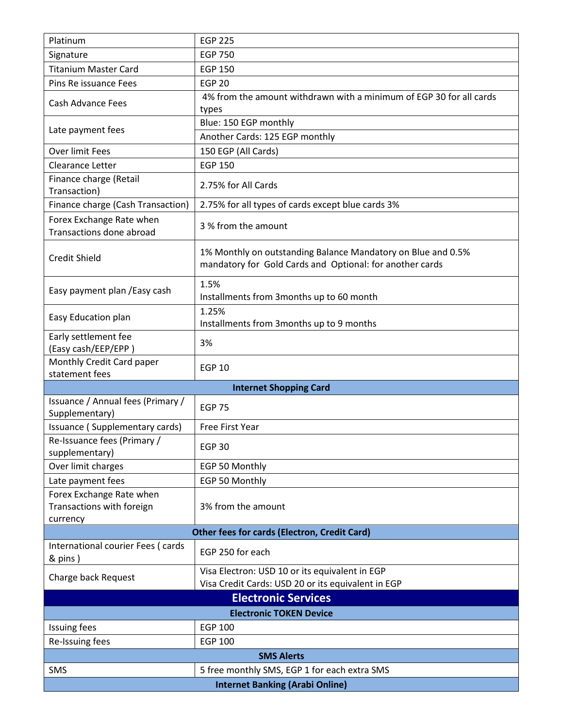| Platinum                                                          | <b>EGP 225</b>                                                                                                           |  |  |
|-------------------------------------------------------------------|--------------------------------------------------------------------------------------------------------------------------|--|--|
| Signature                                                         | <b>EGP 750</b>                                                                                                           |  |  |
| <b>Titanium Master Card</b>                                       | <b>EGP 150</b>                                                                                                           |  |  |
| Pins Re issuance Fees                                             | <b>EGP 20</b>                                                                                                            |  |  |
| Cash Advance Fees                                                 | 4% from the amount withdrawn with a minimum of EGP 30 for all cards                                                      |  |  |
|                                                                   | types                                                                                                                    |  |  |
| Late payment fees                                                 | Blue: 150 EGP monthly                                                                                                    |  |  |
|                                                                   | Another Cards: 125 EGP monthly                                                                                           |  |  |
| <b>Over limit Fees</b>                                            | 150 EGP (All Cards)                                                                                                      |  |  |
| <b>Clearance Letter</b>                                           | <b>EGP 150</b>                                                                                                           |  |  |
| Finance charge (Retail<br>Transaction)                            | 2.75% for All Cards                                                                                                      |  |  |
| Finance charge (Cash Transaction)                                 | 2.75% for all types of cards except blue cards 3%                                                                        |  |  |
| Forex Exchange Rate when<br>Transactions done abroad              | 3 % from the amount                                                                                                      |  |  |
| <b>Credit Shield</b>                                              | 1% Monthly on outstanding Balance Mandatory on Blue and 0.5%<br>mandatory for Gold Cards and Optional: for another cards |  |  |
| Easy payment plan / Easy cash                                     | 1.5%<br>Installments from 3months up to 60 month                                                                         |  |  |
| Easy Education plan                                               | 1.25%<br>Installments from 3months up to 9 months                                                                        |  |  |
| Early settlement fee<br>(Easy cash/EEP/EPP)                       | 3%                                                                                                                       |  |  |
| Monthly Credit Card paper                                         | <b>EGP 10</b>                                                                                                            |  |  |
| statement fees                                                    |                                                                                                                          |  |  |
|                                                                   | <b>Internet Shopping Card</b>                                                                                            |  |  |
| Issuance / Annual fees (Primary /<br>Supplementary)               | <b>EGP 75</b>                                                                                                            |  |  |
| Issuance (Supplementary cards)                                    | Free First Year                                                                                                          |  |  |
| Re-Issuance fees (Primary /<br>supplementary)                     | <b>EGP 30</b>                                                                                                            |  |  |
| Over limit charges                                                | EGP 50 Monthly                                                                                                           |  |  |
| Late payment fees                                                 | EGP 50 Monthly                                                                                                           |  |  |
| Forex Exchange Rate when<br>Transactions with foreign<br>currency | 3% from the amount                                                                                                       |  |  |
| <b>Other fees for cards (Electron, Credit Card)</b>               |                                                                                                                          |  |  |
| International courier Fees (cards<br>& pins)                      | EGP 250 for each                                                                                                         |  |  |
| Charge back Request                                               | Visa Electron: USD 10 or its equivalent in EGP<br>Visa Credit Cards: USD 20 or its equivalent in EGP                     |  |  |
| <b>Electronic Services</b>                                        |                                                                                                                          |  |  |
| <b>Electronic TOKEN Device</b>                                    |                                                                                                                          |  |  |
| Issuing fees                                                      | <b>EGP 100</b>                                                                                                           |  |  |
| Re-Issuing fees                                                   | <b>EGP 100</b>                                                                                                           |  |  |
| <b>SMS Alerts</b>                                                 |                                                                                                                          |  |  |
| <b>SMS</b>                                                        | 5 free monthly SMS, EGP 1 for each extra SMS                                                                             |  |  |
| <b>Internet Banking (Arabi Online)</b>                            |                                                                                                                          |  |  |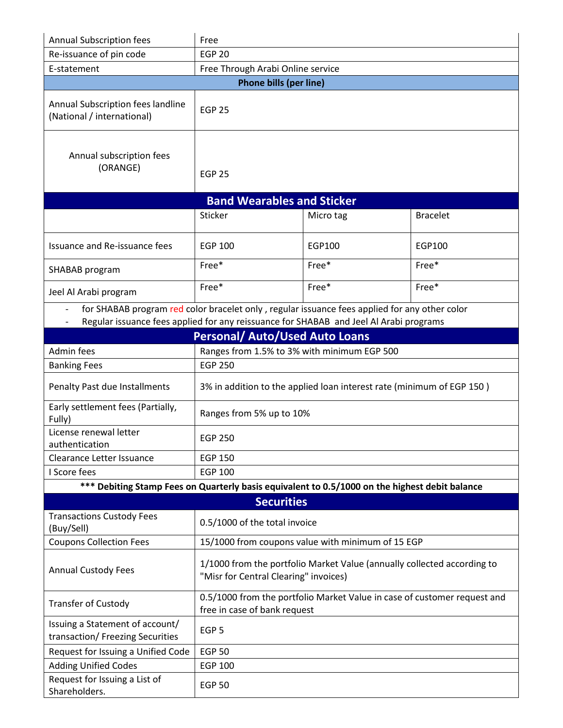| <b>Annual Subscription fees</b>                                                                                                                                                         | Free                                                                                                     |                                                                         |                 |
|-----------------------------------------------------------------------------------------------------------------------------------------------------------------------------------------|----------------------------------------------------------------------------------------------------------|-------------------------------------------------------------------------|-----------------|
| Re-issuance of pin code                                                                                                                                                                 | <b>EGP 20</b>                                                                                            |                                                                         |                 |
| E-statement                                                                                                                                                                             | Free Through Arabi Online service                                                                        |                                                                         |                 |
|                                                                                                                                                                                         | <b>Phone bills (per line)</b>                                                                            |                                                                         |                 |
| Annual Subscription fees landline<br>(National / international)                                                                                                                         | <b>EGP 25</b>                                                                                            |                                                                         |                 |
| Annual subscription fees<br>(ORANGE)                                                                                                                                                    | <b>EGP 25</b>                                                                                            |                                                                         |                 |
|                                                                                                                                                                                         | <b>Band Wearables and Sticker</b>                                                                        |                                                                         |                 |
|                                                                                                                                                                                         | Sticker                                                                                                  | Micro tag                                                               | <b>Bracelet</b> |
| Issuance and Re-issuance fees                                                                                                                                                           | <b>EGP 100</b>                                                                                           | EGP100                                                                  | EGP100          |
| SHABAB program                                                                                                                                                                          | Free*                                                                                                    | Free*                                                                   | Free*           |
| Jeel Al Arabi program                                                                                                                                                                   | Free*                                                                                                    | Free*                                                                   | Free*           |
| for SHABAB program red color bracelet only, regular issuance fees applied for any other color<br>Regular issuance fees applied for any reissuance for SHABAB and Jeel Al Arabi programs |                                                                                                          |                                                                         |                 |
|                                                                                                                                                                                         | <b>Personal/ Auto/Used Auto Loans</b>                                                                    |                                                                         |                 |
| Admin fees                                                                                                                                                                              | Ranges from 1.5% to 3% with minimum EGP 500                                                              |                                                                         |                 |
| <b>Banking Fees</b>                                                                                                                                                                     | <b>EGP 250</b>                                                                                           |                                                                         |                 |
| Penalty Past due Installments                                                                                                                                                           | 3% in addition to the applied loan interest rate (minimum of EGP 150)                                    |                                                                         |                 |
| Early settlement fees (Partially,<br>Fully)                                                                                                                                             | Ranges from 5% up to 10%                                                                                 |                                                                         |                 |
| License renewal letter<br>authentication                                                                                                                                                | <b>EGP 250</b>                                                                                           |                                                                         |                 |
| Clearance Letter Issuance                                                                                                                                                               | <b>EGP 150</b>                                                                                           |                                                                         |                 |
| I Score fees                                                                                                                                                                            | <b>EGP 100</b>                                                                                           |                                                                         |                 |
| *** Debiting Stamp Fees on Quarterly basis equivalent to 0.5/1000 on the highest debit balance                                                                                          |                                                                                                          |                                                                         |                 |
|                                                                                                                                                                                         | <b>Securities</b>                                                                                        |                                                                         |                 |
| <b>Transactions Custody Fees</b><br>(Buy/Sell)                                                                                                                                          | 0.5/1000 of the total invoice                                                                            |                                                                         |                 |
| <b>Coupons Collection Fees</b>                                                                                                                                                          |                                                                                                          | 15/1000 from coupons value with minimum of 15 EGP                       |                 |
| <b>Annual Custody Fees</b>                                                                                                                                                              | "Misr for Central Clearing" invoices)                                                                    | 1/1000 from the portfolio Market Value (annually collected according to |                 |
| <b>Transfer of Custody</b>                                                                                                                                                              | 0.5/1000 from the portfolio Market Value in case of customer request and<br>free in case of bank request |                                                                         |                 |
| Issuing a Statement of account/<br>transaction/ Freezing Securities                                                                                                                     | EGP <sub>5</sub>                                                                                         |                                                                         |                 |
| Request for Issuing a Unified Code                                                                                                                                                      | <b>EGP 50</b>                                                                                            |                                                                         |                 |
| <b>Adding Unified Codes</b>                                                                                                                                                             | <b>EGP 100</b>                                                                                           |                                                                         |                 |
| Request for Issuing a List of<br>Shareholders.                                                                                                                                          | <b>EGP 50</b>                                                                                            |                                                                         |                 |